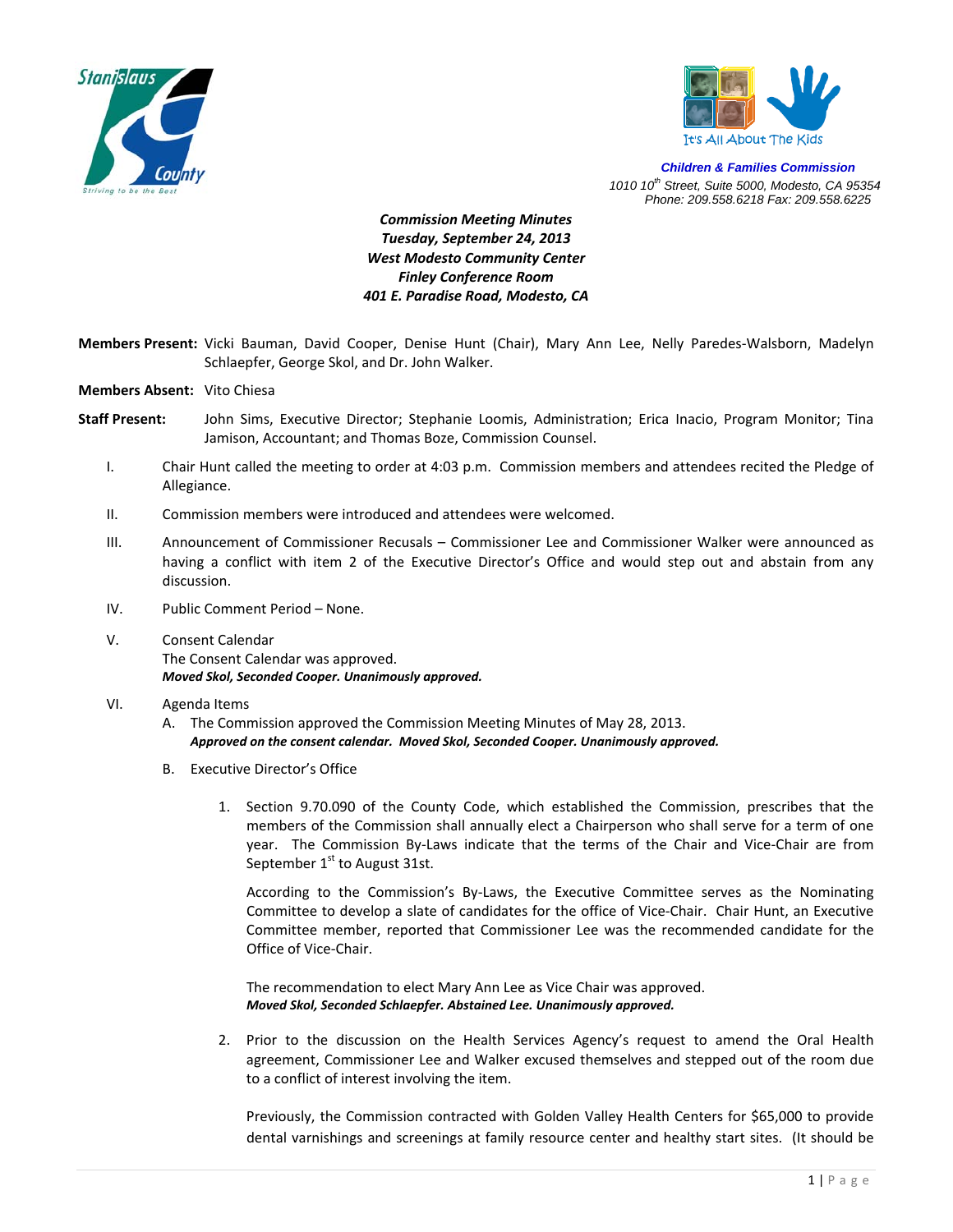



*Children & Families Commission 1010 10th Street, Suite 5000, Modesto, CA 95354 Phone: 209.558.6218 Fax: 209.558.6225*

*Commission Meeting Minutes Tuesday, September 24, 2013 West Modesto Community Center Finley Conference Room 401 E. Paradise Road, Modesto, CA* 

- **Members Present:** Vicki Bauman, David Cooper, Denise Hunt (Chair), Mary Ann Lee, Nelly Paredes‐Walsborn, Madelyn Schlaepfer, George Skol, and Dr. John Walker.
- **Members Absent:** Vito Chiesa
- **Staff Present:** John Sims, Executive Director; Stephanie Loomis, Administration; Erica Inacio, Program Monitor; Tina Jamison, Accountant; and Thomas Boze, Commission Counsel.
	- I. Chair Hunt called the meeting to order at 4:03 p.m. Commission members and attendees recited the Pledge of Allegiance.
	- II. Commission members were introduced and attendees were welcomed.
	- III. Announcement of Commissioner Recusals Commissioner Lee and Commissioner Walker were announced as having a conflict with item 2 of the Executive Director's Office and would step out and abstain from any discussion.
	- IV. Public Comment Period None.
	- V. Consent Calendar The Consent Calendar was approved. *Moved Skol, Seconded Cooper. Unanimously approved.*
	- VI. Agenda Items
		- A. The Commission approved the Commission Meeting Minutes of May 28, 2013. *Approved on the consent calendar. Moved Skol, Seconded Cooper. Unanimously approved.*
		- B. Executive Director's Office
			- 1. Section 9.70.090 of the County Code, which established the Commission, prescribes that the members of the Commission shall annually elect a Chairperson who shall serve for a term of one year. The Commission By-Laws indicate that the terms of the Chair and Vice-Chair are from September  $1<sup>st</sup>$  to August 31st.

According to the Commission's By‐Laws, the Executive Committee serves as the Nominating Committee to develop a slate of candidates for the office of Vice‐Chair. Chair Hunt, an Executive Committee member, reported that Commissioner Lee was the recommended candidate for the Office of Vice‐Chair.

The recommendation to elect Mary Ann Lee as Vice Chair was approved. *Moved Skol, Seconded Schlaepfer. Abstained Lee. Unanimously approved.* 

2. Prior to the discussion on the Health Services Agency's request to amend the Oral Health agreement, Commissioner Lee and Walker excused themselves and stepped out of the room due to a conflict of interest involving the item.

Previously, the Commission contracted with Golden Valley Health Centers for \$65,000 to provide dental varnishings and screenings at family resource center and healthy start sites. (It should be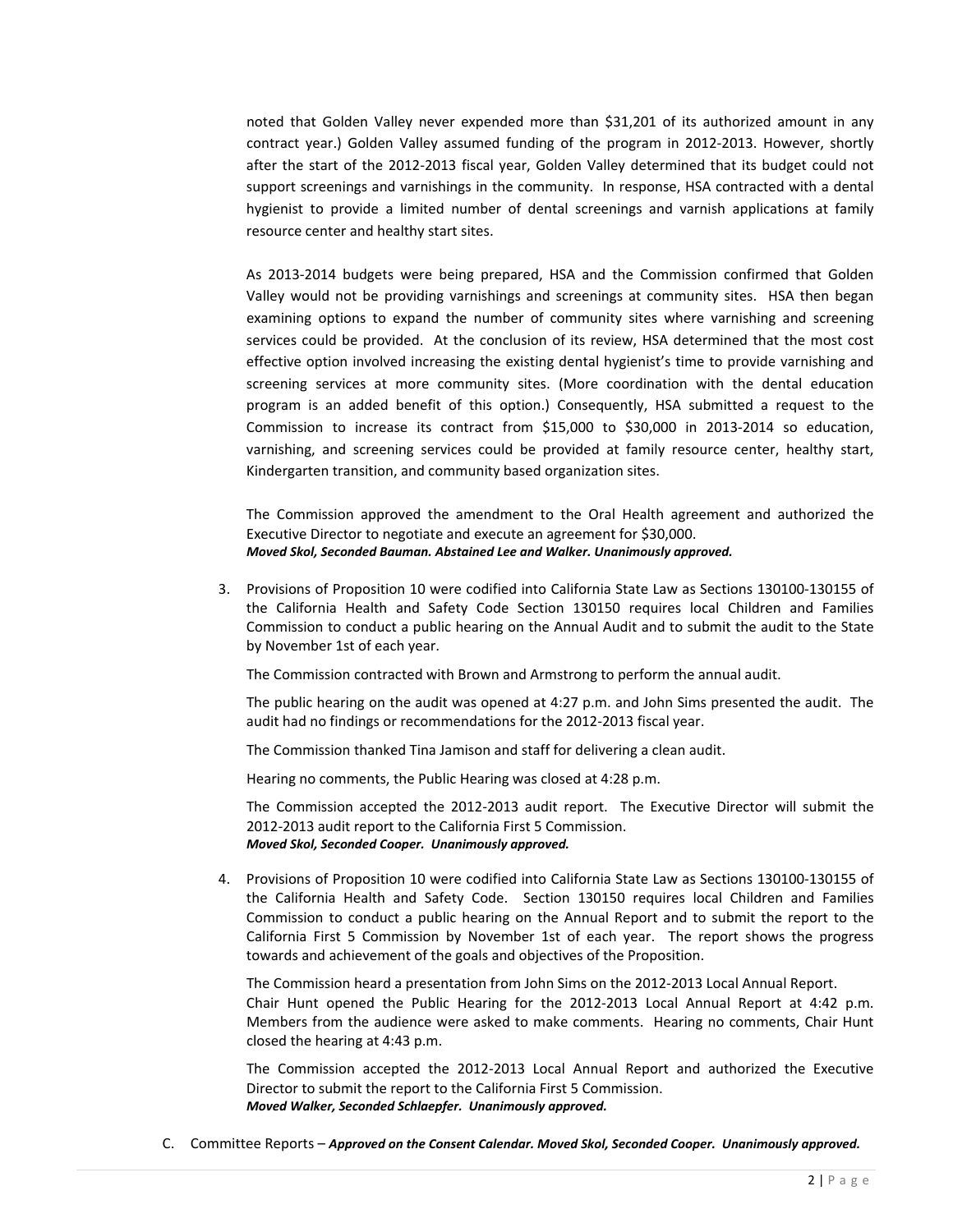noted that Golden Valley never expended more than \$31,201 of its authorized amount in any contract year.) Golden Valley assumed funding of the program in 2012‐2013. However, shortly after the start of the 2012‐2013 fiscal year, Golden Valley determined that its budget could not support screenings and varnishings in the community. In response, HSA contracted with a dental hygienist to provide a limited number of dental screenings and varnish applications at family resource center and healthy start sites.

As 2013‐2014 budgets were being prepared, HSA and the Commission confirmed that Golden Valley would not be providing varnishings and screenings at community sites. HSA then began examining options to expand the number of community sites where varnishing and screening services could be provided. At the conclusion of its review, HSA determined that the most cost effective option involved increasing the existing dental hygienist's time to provide varnishing and screening services at more community sites. (More coordination with the dental education program is an added benefit of this option.) Consequently, HSA submitted a request to the Commission to increase its contract from \$15,000 to \$30,000 in 2013‐2014 so education, varnishing, and screening services could be provided at family resource center, healthy start, Kindergarten transition, and community based organization sites.

The Commission approved the amendment to the Oral Health agreement and authorized the Executive Director to negotiate and execute an agreement for \$30,000. *Moved Skol, Seconded Bauman. Abstained Lee and Walker. Unanimously approved.* 

3. Provisions of Proposition 10 were codified into California State Law as Sections 130100‐130155 of the California Health and Safety Code Section 130150 requires local Children and Families Commission to conduct a public hearing on the Annual Audit and to submit the audit to the State by November 1st of each year.

The Commission contracted with Brown and Armstrong to perform the annual audit.

The public hearing on the audit was opened at 4:27 p.m. and John Sims presented the audit. The audit had no findings or recommendations for the 2012‐2013 fiscal year.

The Commission thanked Tina Jamison and staff for delivering a clean audit.

Hearing no comments, the Public Hearing was closed at 4:28 p.m.

The Commission accepted the 2012-2013 audit report. The Executive Director will submit the 2012‐2013 audit report to the California First 5 Commission. *Moved Skol, Seconded Cooper. Unanimously approved.* 

4. Provisions of Proposition 10 were codified into California State Law as Sections 130100‐130155 of the California Health and Safety Code. Section 130150 requires local Children and Families Commission to conduct a public hearing on the Annual Report and to submit the report to the California First 5 Commission by November 1st of each year. The report shows the progress towards and achievement of the goals and objectives of the Proposition.

The Commission heard a presentation from John Sims on the 2012‐2013 Local Annual Report. Chair Hunt opened the Public Hearing for the 2012‐2013 Local Annual Report at 4:42 p.m. Members from the audience were asked to make comments. Hearing no comments, Chair Hunt closed the hearing at 4:43 p.m.

The Commission accepted the 2012‐2013 Local Annual Report and authorized the Executive Director to submit the report to the California First 5 Commission. *Moved Walker, Seconded Schlaepfer. Unanimously approved.*

C. Committee Reports – *Approved on the Consent Calendar. Moved Skol, Seconded Cooper. Unanimously approved.*